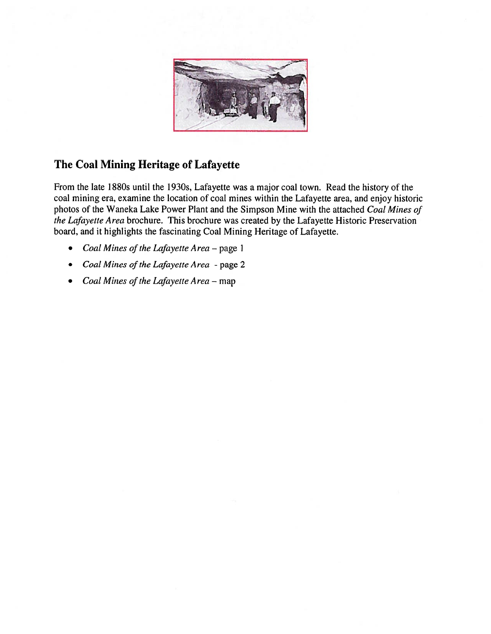

#### The Coal Mining Heritage of Lafayette

From the late 1880s until the 1930s, Lafayette was a major coal town. Read the history of the coal mining era, examine the location of coal mines within the Lafayette area, and enjoy historic photos of the Waneka Lake Power Plant and the Simpson Mine with the attached Coal Mines of the Lafayette Area brochure. This brochure was created by the Lafayette Historic Preservation board, and it highlights the fascinating Coal Mining Heritage of Lafayette.

- •Coal Mines of the Lafayette Area - page 1
- Coal Mines of the Lafayette Area page 2
- Coal Mines of the Lafayette Area map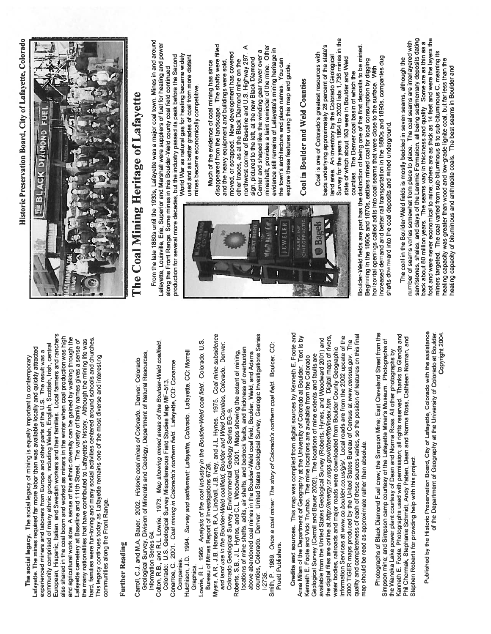European, Hispanic, Italian, and Swedish workers and their families. Local farmers and ranchers European, Hispanic, Italian, and Swedish workers and their families. Local farmers and ranchers also shared in the coal boom and worked as miners in the winter when coal production was high and agricultural work slow. A sense of this ethnic diversity can be gained by walking through the hard, families were fun-loving and many social activities centered around schools and churches. also shared in the coal boom and worked as miners in the winter when coal production was high and agricultural work slow. A sense of this ethnic diversity can be gained by walking through the Lafayette cemetery at Baseline and 111th Street. The variety of family names gives a sense of the many nationalities that have contributed to Lafayette's history. Although the mining life was hard, families were fun-loving and many social activities centered around schools and churches. Lafayette cemetery at Baseline and 111th Street. The variety of family names gives a sense of the many nationalities that have contributed to Lafayette's history. Although the mining life was community comprised of many ethnic groups, including Welsh, English, Scottish, Irish, central community comprised of many ethnic groups, including Welsh, English. Scottish, Irish, central Lafayette. The mines required far more labor than was available locally and quickly attracted Lafayette The mines required far more labor than was available locally and quickly attracted experienced miners and laborers from Europe and other parts of the U.S. The result was a experienced miners and laborers from Europe and other parts of the U.S. The result was a This legacy continues today as Lafayette remains one of the most diverse and interesting The social legacy. The social legacy of mining is equally important to contemporary The social legacy. The social legacy of mining is equally important to contemporary This legacy continues today as Lafayette remains one of the most diverse and interesting communities along the Front Range. communities along the Front Range.

### **Further Reading** Further Reading

- Geological Survey, Division of Minerals and Geology, Department of Natural Resources, Geological Survey, Division of Minerals and Geology, Department of Natural Resources, Carroll, C.J. and M.A. Bauer. 2002. Historic coal mines of Colorado. Denver: Colorado Carroll, C.J. and M.A. Bauer. 2002. Historic coal mines of Colorado. Denver: Colorado Information Series 64. Information Series 64.
- Colton, R.B., and R.L. Lowrie. 1973. Map showing mined areas of the Boulder-Weld coalfield. Colton, R B., and R.L. Lowrie. 1973 Map showing mined areas of the Boulder-Weld coalfield Conarroe, C. 2001 Coal mining in Colorado's northern field. Lafayette, CO: Conarroe Colorado: U.S. Geological Survey Miscellaneous Field Studies Map MF—513. Colorado: U.S. Geological Survey Miscellaneous Field Studies Map MF-513.
	- Conarroe, C. 2001. Coal mining in Colorado's northern field. Lafayette, CO: Conarroe<br>Companies.<br>Hutchison, J.D. 1994. Survey and settlement: Lafayette, Colorado. Lafayette, CO: Morrell Hutchison, J.D. 1994. Survey and settlement: Lafayette, Colorado. Lafayette, CO: Morrell
- Graphics.<br>Lowrie, R.L. 1966. *Analysis of the coal industry in the Boulder-Weld coal field*. Colorado: U.S.
	- Lowrie, R.L. 1966. Analysis of the coal industry in the Boulder-Weld coal field. Colorado: U.S. Bureau of Mines Report of Investigations 6726. Bureau of Mines Report of Investigations 6726.
- Myers, A.R., J.B. Hansen, R.A. Lindvall, J.B. Ivey, and J.L. Hynes. 1975. Coal mine subsidence Myers, A.R., J.B. Hansen, R.A. Lindvall, J.B. Ivey, and J.L. Hynes. 1975. Coal mine subsidence and land use in the Boulder-Weld coalfield, Boulder and Weld Counties, Colorado. Denver: and land use in the Boulder-Weld coalfield, Boulder and Weld Counties, Colorado. Denver. Colorado Geological Survey, Environmental Geology Series EG-9. Colorado Geological Survey, Environmental Geology Series EG—9.
	- counties, Colorado. Denver: United States Geological Survey, Geologic Investigations Series<br>1-2735. counties, Colorado. Denver United States Geological Survey, Geologic Investigations Series locations of mine shafts, adits, air shafts, and bedrock faults, and thickness of overburden locations of mine shafts, adits. air shafts, and bedrock faults, and thickness of overburden Roberts, S.B., J.L. Hynes, and C.L. Woodward. 2001. Maps showing the extent of mining, above abandoned coal mines in the Boulder-Weld coal field, Boulder, Weld, and Adams Roberts, S.B., J.L. Hynes, and C.L. Woodward. 2001. Maps showing the extent of mining, above abandoned coal mines in the Boulder-Weld coal field, Boulder, Weld, and Adams
- Smith, P. 1989, Once a coal miner. The story of Colorado's northern coal field. Boulder, CO: Smith, P. 1989 Once a coal miner: The story of Colorado's northern coal field. Boulder, CO: Pruett Publishers. Pruett Publishers.

Credits and sources. This map was compiled from digital sources by Kenneth E. Foote and Credits and sources. This map was compiled from digital sources by Kenneth E. Foote and quality and completeness of each of these sources varies, so the position of features on this final Anna Milan of the Department of Geography at the University of Colorado at Boulder. Text is by the digital files are online at http://energy.cr.usgs.gov/other/frip/index.htm. Digital maps of rivers, Information Services at www.co.boulder.co.us/gis/. Local roads are from the 2002 update of the quality and completeness of each of these sources varies, so the position of features on this final the digital files are online at http://energy.cr.usgs.gov/other/frip/index.htm. Digital maps of rivers. Anna Milan of the Department of Geography at the University of Colorado at Boulder. Text is by available from the United States Geological Survey (Roberts, Hynes, and Woodward 2001) and Information Services at www.co.boulder.co.us/gis/ Local roads are from the 2002 update of the available from the United States Geological Survey (Roberts, Hynes, and Woodward 2001) and 2000 TIGER maps produced by the United States Bureau of Census at www.census.gov. The 2000 TIGER maps produced by the United States Bureau of Census at www.census.gov. The water bodies, railroads and major roads were downloaded from Boulder County Geographic water bodies, railroads and major roads were downloaded from Boulder County Geographic Geological Survey (Carroll and Bauer 2002). The locations of mine extents and faults are Kenneth E. Foote and Vicki Trumbo. The mine locations are available from the Colorado Geological Survey (Carroll and Bauer 2002). The locations of mine extents and faults are Kenneth E. Foote and Vicki Trumbo. The mine locations are available from the Colorado map should be read as approximate rather than absolute. map should be read as approximate rather than absolute. Photographs of Black Diamond Fuel crew; the Simpson Mine; East Cleveland Street from the Kenneth E. Foote. Photographs used with permission; all rights reserved. Thanks to Glenda and Photographs of Black Diamond Fuel crew; the Simpson Mine; East Cleveland Street from the Kenneth E Foote. Photographs used with permission all rights reserved. Thanks to Glenda and Phil Chermak, Stephanie Schmidt, Andy Patten, Dean and Norma Ross, Cathleen Norman, and Simpson mine; and Simpson camp courtesy of the Lafayette Miner's Museum. Photographs of Phil Chermak, Stephanie Schmidt. Andy Patten, Dean and Norma Ross, Cathleen Norman. and Simpson mine, and Simpson camp courtesy of the Lafayette Miner's Museum Photographs of the Waneka Lake power plant courtesy of Dean and Norma Ross. All other photographs by the Waneka Lake power plant courtesy of Dean and Norma Ross All other photographs by Stephen Roberts for providing help with this project. Stephen Roberts for providing help with this project.

Published by the Historic Preservation Board, City of Lafayette, Colorado with the assistance of the Department of Geography at the University of Colorado at Boulder. Published by the Historic Preservation Board, City of Lafayette, Colorado with the assistance of the Department of Geography at the University of Colorado at Boulder. Copyright 2004. Copyright 2004.

Historic Preservation Board, City of Lafayette, Colorado Historic Preservation Board, City of Lafayette, Colorado



# The Coal Mining Heritage of LafayetteThe Coal Mining Heritage of Lafayette

From the late 1880s until the 1930s, Lafayette was a major coal town. Mines in and around From the late 1880s until the 1930s, Lafayette was a major coal town. Mines in and around Lafayette, Louisville, Erie, Superior and Marshall were suppliers of fuel for heating and power Lafayette, Louisville, Erie, Superior and Marshall were suppliers of fuel for heating and power production for several more decades, but the industry passed its peak before the Second production for several more decades, but the industry passed its peak before the Second along the Front Range. Some mines in this Boulder-Weld county coal field continued along the Front Range. Some mines in this Boulder-Weld county coal field continued

World War as natural gas for heating became widely World War as natural gas for heating became widely used and as better grades of coal from more distant used and as better grades of coal from more distant mines became economically competitive. mines became economically competitive.

disappeared from the landscape. The shafts were filled ⋖ mineshaft, provides a faint reminder of the mine. Other disappeared from the landscape. The shafts were filled mineshaft, provides a faint reminder of the mine. Other northwest corner of Baseline and U.S. Highway 287. A evidence still remains of Lafayette's mining heritage in Center and shaped like the winding gear tower over a evidence still remains of Lafayette's mining heritage in moved, or scrapped. New development has covered Center and shaped like the winding gear tower over a moved, or scrapped New development has covered northwest corner of Baseline and U.S. Highway 287. sign, pictured to the left, at the new Black Diamond the town's architecture and place names. You can other traces, as at the Black Diamond mine on the sign, pictured to the left, at the new Black Diamond Much of the evidence of coal mining has since and the heavy equipment and buildings were sold, other traces, as at the Black Diamond mine on the the town's architecture and place names You can Much of the evidence of coal mining has since and the heavy equipment and buildings were sold. explore these features using this map and guide. explore these features using this map and guide

## Coal in Boulder and Weld Counties Coal in Boulder and Weld Counties

Survey for the years 1864 to 2002 lists 1,736 mines in the Survey for the years 1864 to 2002 lists 1,736 mines in the beds underlying approximately 28 percent of the state's beds underlying approximately 28 percent of the state's Coal is one of Colorado's greatest resources with Coal is one of Colorado's greatest resources with land area. An inventory by the Colorado Geological land area. An inventory by the Colorado Geological state of which about 163 were in Boulder and Weld state of which about 163 were in Boulder and Weld counties. The Denver coal basin of which the counties. The Denver coal basin of which the

Boulder-Weld fields are part has the distinction of being one of the first deposits to be mined. Boulder-Weld fields are part has the distinction of being one of the first deposits to be mined. increased demand and better rail transportation in the 1880s and 1890s, companies dug Beginning in the 1860s and 1870s, settlers mined coal for local consumption by digging increased demand and better rail transportation in the 1880s and 1890s, companies dug Beginning in the 1860s and 1870s, settlers mined coal for local consumption by digging horizontal openings called adits into coal seams that were close to the surface. \Nith horizontal openings called adits into coal seams that were close to the surface. With shafts downward into the coal deposits and mined underground. shafts downward into the coal deposits and mined underground.

sandstones, shales, and clays of the Laramie Formation, all being sedimentary deposits dating foot and were never economical to mine; others are as thick as 14 feet and were the layers the sandstones, shales, and clays of the Laramie Formation, all being sedimentary deposits dating foot and were never economical to mine; others are as thick as 14 feet and were the layers the number of seams varies somewhat from place to place. The coal seams are interlayered with back about 80 million years. The seams vary in thickness and quality. Some are as thin as a number of seams varies somewhat from place to place. The coal seams are interlayered with back about 80 million years. The seams vary in thickness and quality. Some are as thin as a miners targeted. The coal varied from sub-bituminous B to sub-bituminous C, meaning its miners targeted. The coal varied from sub-bituminous B to sub-bituminous C, meaning its The coal in the Boulder-Weld fields is mostly bedded in seven seams, although the heating capacity was greater than wood and low-grade lignite coal, but far less than the The coal in the Boulder-Weld fields is mostly bedded in seven seams, although the heating capacity was greater than wood and low-grade lignite coal, but far less than the reating capacity of bituminous and anthracite coals. The best seams in Boulder and heating capacity of bituminous and anthracite coals. The best seams in Boulder and

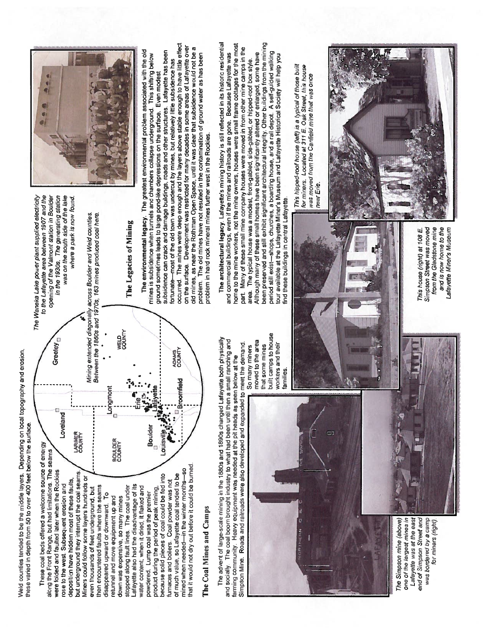Weld counties tended to be the middle layers. Depending on local topography and erosion, Weld counties tended to be the middle layers. Depending on local topography and erosion, these varied in depth from 50 to over 400 feet below the surface. these varied in depth from 50 to over 400 feet below the surface

stopped along fault lines. The coal under  $\begin{pmatrix} 1 & \frac{1}{2}a & \frac{1}{2}a \end{pmatrix}$  William The Legacies of Mining Lafayette also had the disadvantage of its  $\begin{pmatrix} 1 & \frac{1}{2}a & \frac{1}{2}a & \frac{1}{2}a \end{pmatrix}$  The Legacies of Mining **MELD**<br>SOUNTY Greeley<sub>D</sub> were folded and faulted later when the Rockies **Creation** Extendity ADAMS<br>COUNTY of much value, so Lafayette coal tended to be **roomfield** county countined when needed—in the winter months—so product during the period of peak mining, .. ,Lafayette - roomfield disappeared upward or downward. To **Longmont of the move equipment up and BOULDER** Longmont because solid pieces of coal could be fed into Louisville,  $\mathcal{A}$ Loveland ö rose to the west. Subsequent erosion and **Loveland Boulder** powdered. Lump coal was the premier **Boulder LARIMER**<br>COUNTY ouisville **BOULDER**<br>COUNTY These coal beds offered a welcome source of energy down was expensive, so many mines These coal beds offered a welcome source of energy along the Front Range, but had limitations. The seams along the Front Range, but had limitations. The seams that it would not dry out before it could be burned. that it would not dry out before it could be burned. mined when needed-in the winter months-so were folded and faulted later when the Rockies but underground they interrupt the coal seams. but underground they interrupt the coal seams i much value, so Lafayette coal tended to be because solid pieces of coal could be fed into Miners could follow some layers hundreds or Miners could follow some layers hundreds or deposition have hidden most of these faults, deposition have hidden most of these faults, furnaces and boilers Coal powder was not furnaces and boilers. Coal powder was not rose to the west. Subsequent erosion and Lafayette also had the disadvantage of its then encountered faults where the seams then encountered faults where the seams stopped along fault lines. The coal under water content, when it dried, it flaked and even thousands of feet underground, but product during the period of peak mining. even thousands of feet underground, but powdered. Lump coal was the premier disappeared upward or downward. To retunnel and move equipment up and down was expensive, so many mines ৳

## The Coal Mines and Camps The Coal Mines and Camps

The advent of large-scale mining in the 1880s and 1890s changed Lafayette both physically The advent of large-scale mining in the 1880s and 1890s changed Lafavette both physically and socially. The coal boom brought industry to what had been until then a small ranching and and socially. The coal boom brought industry to what had been until then a small ranching and Simpson Mine. Roads and railroads were also developed and expanded to meet the demand Simpson Mine. Roads and railroads were also developed and expanded to meet the demand. farming community. Heavy equipment was needed at the pit heads as seen below at the farming community. Heavy equipment was needed at the pit heads as seen below at the

E. **CONTA** ill

The Simpson mine (above) one of the largest mines in Lafayette was at the east Lafayette was at the east end of Simpson Street and end of Simpson Street and was bordered by a camp The Simpson mine (above) one of the largest mines in was bordered by a camp for miners (right). for miners (nght)

built camps to house built camps to house moved to the area moved to the area workers and their workers and their that some mines So many miners that some mines So many miners families.

to the Lafayette area between 1907 and the opening of the Valmont station in Boulder was on the south side of the lake The Waneka Lake power plant supplied electricity The Waneka Lake power plant supplied electricity to the Lafayette area between 1907 and the opening of the Va/mont station in Boulder in the 1930s. The generating station was on the south side of the lake in the 1930s. The generating station where a park is now found. where a park is now found.

Mining extended diagonally across Boulder and Weld counties. Mining extended diagonally across Boulder and Weld counties. Between the 1860s and 1970s, 163 mines produced coal here. Between the 1860s and 1970s. 163 mines produced coal here.

The Legacies of Mining



occurred. The mines were deep enough and the layers above stable enough to have little effect occurred. The mines were deep enough and the layers above stable enough to have little effect on the surface. Development was restricted for many decades in some areas of Lafayette over on the surface. Development was restricted for many decades in some areas of Lafayette over old mines, as near the Rothman Open Space, until it was clear that subsidence would not be a old mines, as near the Rothman Open Space, until it was clear that subsidence would not be a The environmental legacy. The greatest environmental problem associated with the old subsidence can crack and damage buildings, roads and other structures. Lafayette has been The environmental legacy. The greatest environmental problem associated with the old subsidence can crack and damage buildings, roads and other structures. Lafayette has been problem. The old mines have not resulted in the contamination of ground water as has been mines is subsidence when tunnels and chambers collapse underground. This shifting below mines is subsidence when tunnels and chambers collapse underground. This shifting below problem. The old mines have not resulted in the contamination of ground water as has been fortunate—most of the old town was undercut by mines, but relatively little subsidence has fortunate—most of the old town was undercut by mines, but relatively little subsidence has ground sometimes leads to large pond-like depressions on the surface. Even modest ground sometimes leads to large pond-like depressions on the surface. Even modest problem in hard rock mineral mines further west in the Rockies. problem in hard rock mineral mines further west in the Rockies.

The architectural legacy. Lafayette's mining history is still reflected in its historic residential been preserved and still exhibit significant architectural integrity. Other buildings from the mining The architectural legacy. Lafayette's mining history is still reflected in its historic residential home to the mine workers, not the mine owners, houses were small frame cottages for the most home to the mine workers, not the mine owners, houses were small frame cottages for the most been preserved and still exhibit significant architectural integrity. Other buildings from the mining part. Many of these small mine company houses were moved in from other mine camps in the part. Many of these small mine company houses were moved in from other mine camps in the period still exist-shops, churches, a boarding house, and a rail depot. A self-guided walking period still exist—shops, churches, a boarding house, and a rail depot. A self-guided walking and commercial buildings, even if the mines and railroads are gone. Because Lafayette was Although many of these small homes have been significantly altered or enlarged, some have tour available at the Lafayette Miner's Museum and Lafayette Historical Society will help you and commercial buildings, even if the mines and railroads are gone. Because Lafayette was Although many of these small homes have been significantly altered or enlarged, some have tour available at the Lafayette Miner's Museum and Lafayette Historical Society will help you The typical house was a modest, front-gabled, side-gabled, or hipped-roof box style. area. The typical house was a modest, front-gabled, side-gabled, or hipped-roof box style find these buildings in central Lafayette. find these buildings in central Lafayette. area.

for miners. Located at 311 E. Oak Street, this house This hipped-roof house (left) is a typical of those built This hipped-roof house (left) is a typical of those built for miners. Located at 311 E. Oak Street, this house was moved from the Canfield mine that was once<br>near Erie. was moved from the Canfield mine that was once



This house (right) at 108 E. Simpson Street was moved from the Gladstone mine and is now home to the